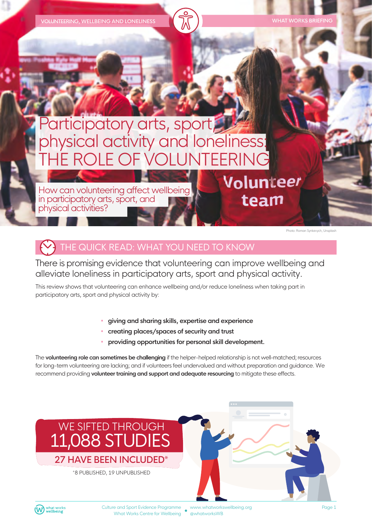**VOLUNTEERING, WELLBEING AND LONELINESS** 

# Participatory arts, sport, physical activity and loneliness: THE ROLE OFVOLUNTEERING

How can volunteering affect wellbeing in participatory arts, sport, and physical activities?

Photo: Roman Synkevych, Unsplash

Volunteer

team

## THE QUICK READ: WHAT YOU NEED TO KNOW

There is promising evidence that volunteering can improve wellbeing and alleviate loneliness in participatory arts, sport and physical activity.

This review shows that volunteering can enhance wellbeing and/or reduce loneliness when taking part in participatory arts, sport and physical activity by:

- **giving and sharing skills, expertise and experience**
- **creating places/spaces of security and trust**
- **providing opportunities for personal skill development.**

The **volunteering role can sometimes be challenging** if the helper-helped relationship is not well-matched; resources for long-term volunteering are lacking; and if volunteers feel undervalued and without preparation and guidance. We recommend providing **volunteertraining and support and adequate resourcing** to mitigate these effects.



Culture and Sport Evidence Programme What Works Centre for Wellbeing

www.whatworkswellbeing.org @whatworksWB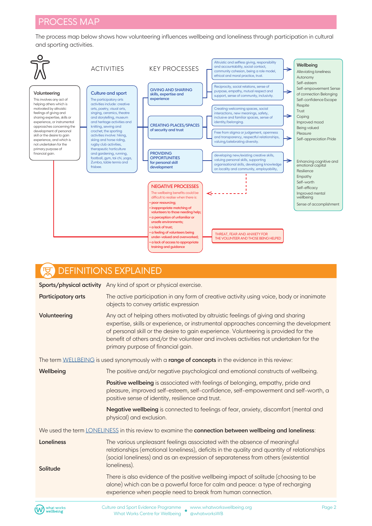The process map below shows how volunteering influences wellbeing and loneliness through participation in cultural and sporting activities.



| <b>DEFINITIONS EXPLAINED</b>                                                                           |                                                                                                                                                                                                                                                                                                                                                                                                   |
|--------------------------------------------------------------------------------------------------------|---------------------------------------------------------------------------------------------------------------------------------------------------------------------------------------------------------------------------------------------------------------------------------------------------------------------------------------------------------------------------------------------------|
|                                                                                                        | Sports/physical activity Any kind of sport or physical exercise.                                                                                                                                                                                                                                                                                                                                  |
| Participatory arts                                                                                     | The active participation in any form of creative activity using voice, body or inanimate<br>objects to convey artistic expression                                                                                                                                                                                                                                                                 |
| Volunteering                                                                                           | Any act of helping others motivated by altruistic feelings of giving and sharing<br>expertise, skills or experience, or instrumental approaches concerning the development<br>of personal skill or the desire to gain experience. Volunteering is provided for the<br>benefit of others and/or the volunteer and involves activities not undertaken for the<br>primary purpose of financial gain. |
| The term WELLBEING is used synonymously with a range of concepts in the evidence in this review:       |                                                                                                                                                                                                                                                                                                                                                                                                   |
| Wellbeing                                                                                              | The positive and/or negative psychological and emotional constructs of wellbeing.                                                                                                                                                                                                                                                                                                                 |
|                                                                                                        | Positive wellbeing is associated with feelings of belonging, empathy, pride and<br>pleasure, improved self-esteem, self-confidence, self-empowerment and self-worth, a<br>positive sense of identity, resilience and trust.                                                                                                                                                                       |
|                                                                                                        | Negative wellbeing is connected to feelings of fear, anxiety, discomfort (mental and<br>physical) and exclusion.                                                                                                                                                                                                                                                                                  |
| We used the term LONELINESS in this review to examine the connection between wellbeing and loneliness: |                                                                                                                                                                                                                                                                                                                                                                                                   |
| Loneliness<br>Solitude                                                                                 | The various unpleasant feelings associated with the absence of meaningful<br>relationships (emotional loneliness), deficits in the quality and quantity of relationships<br>(social loneliness) and as an expression of separateness from others (existential<br>loneliness).                                                                                                                     |
|                                                                                                        | There is also evidence of the positive wellbeing impact of solitude (choosing to be<br>alone) which can be a powerful force for calm and peace: a type of recharging<br>experience when people need to break from human connection.                                                                                                                                                               |
| what works<br>wellbeing                                                                                | Culture and Sport Evidence Programme _ www.whatworkswellbeing.org<br>Page 2<br>$\mathbf{v}$ and $\mathbf{v}$ and $\mathbf{v}$ and $\mathbf{v}$ are $\mathbf{v}$ and $\mathbf{v}$                                                                                                                                                                                                                  |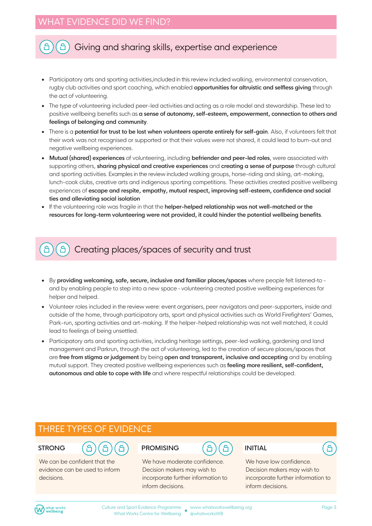#### A Giving and sharing skills, expertise and experience

- Participatory arts and sporting activities,included in this review included walking, environmental conservation, rugby club activities and sport coaching, which enabled **opportunities for altruistic and selfless giving** through the act of volunteering.
- The type of volunteering included peer-led activities and acting as a role model and stewardship. These led to positive wellbeing benefits such as **a sense of autonomy, self-esteem, empowerment, connection to others and feelings of belonging and community**.
- There is a **potential for trust to be lost when volunteers operate entirely for self-gain**. Also, if volunteers felt that their work was not recognised or supported or that their values were not shared, it could lead to burn-out and negative wellbeing experiences.
- **Mutual (shared) experiences** of volunteering, including **befriender and peer-led roles**, were associated with supporting others, **sharing physical and creative experiences** and **creating a sense of purpose** through cultural and sporting activities. Examples in the review included walking groups, horse-riding and skiing, art-making, lunch-cook clubs, creative arts and indigenous sporting competitions. These activities created positive wellbeing experiences of **escape and respite, empathy, mutual respect, improving self-esteem, confidence and social ties and alleviating social isolation**
- If the volunteering role was fragile in that the **helper-helped relationship was not well-matched or the resources for long-term volunteering were not provided, it could hinder the potential wellbeing benefits**.

#### Creating places/spaces of security and trust å

- By **providing welcoming, safe, secure, inclusive and familiar places/spaces** where people felt listened-to and by enabling people to step into a new space - volunteering created positive wellbeing experiences for helper and helped.
- Volunteer roles included in the review were: event organisers, peer navigators and peer-supporters, inside and outside of the home, through participatory arts, sport and physical activities such as World Firefighters' Games, Park-run, sporting activities and art-making. If the helper-helped relationship was not well matched, it could lead to feelings of being unsettled.
- Participatory arts and sporting activities, including heritage settings, peer-led walking, gardening and land management and Parkrun, through the act of volunteering, led to the creation of secure places/spaces that are **free from stigma or judgement** by being **open and transparent, inclusive and accepting** and by enabling mutual support. They created positive wellbeing experiences such as **feeling more resilient, self-confident, autonomous and able to cope with life** and where respectful relationships could be developed.

#### THREE TYPES OF EVIDENCE

#### **STRONG**

We can be confident that the evidence can be used to inform decisions.

#### **PROMISING**

We have moderate confidence. Decision makers may wish to incorporate further information to inform decisions.

#### **INITIAL**

We have low confidence. Decision makers may wish to incorporate further information to inform decisions.

A